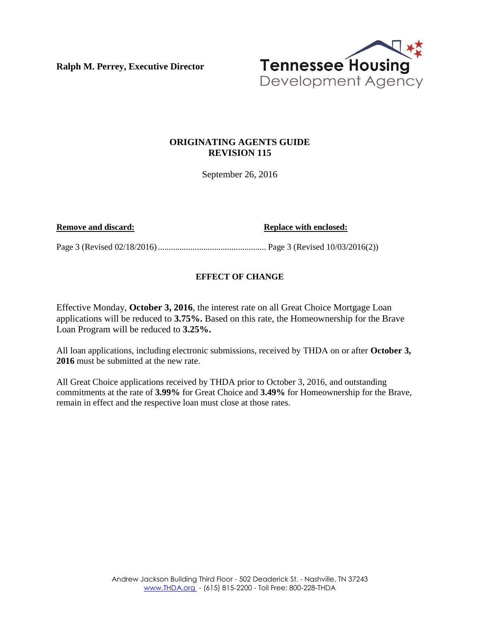**Ralph M. Perrey, Executive Director** 



## **ORIGINATING AGENTS GUIDE REVISION 115**

September 26, 2016

**Remove and discard: Replace with enclosed: Replace with enclosed:** 

Page 3 (Revised 02/18/2016) .................................................. Page 3 (Revised 10/03/2016(2))

## **EFFECT OF CHANGE**

Effective Monday, **October 3, 2016**, the interest rate on all Great Choice Mortgage Loan applications will be reduced to **3.75%.** Based on this rate, the Homeownership for the Brave Loan Program will be reduced to **3.25%.**

All loan applications, including electronic submissions, received by THDA on or after **October 3, 2016** must be submitted at the new rate.

All Great Choice applications received by THDA prior to October 3, 2016, and outstanding commitments at the rate of **3.99%** for Great Choice and **3.49%** for Homeownership for the Brave, remain in effect and the respective loan must close at those rates.